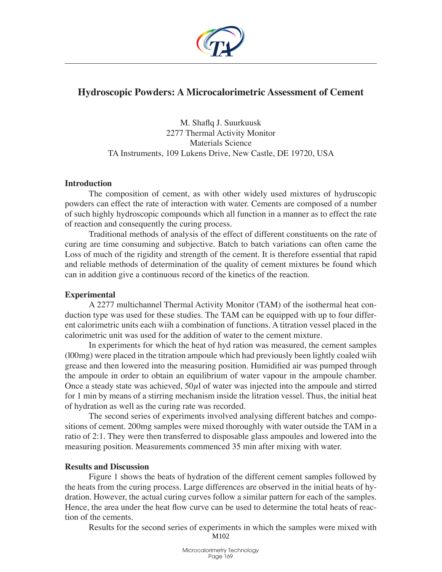

# **Hydroscopic Powders: A Microcalorimetric Assessment of Cement**

M. Shaflq J. Suurkuusk 2277 Thermal Activity Monitor Materials Science TA Instruments, 109 Lukens Drive, New Castle, DE 19720, USA

#### **Introduction**

The composition of cement, as with other widely used mixtures of hydruscopic powders can effect the rate of interaction with water. Cements are composed of a number of such highly hydroscopic compounds which all function in a manner as to effect the rate of reaction and consequently the curing process.

Traditional methods of analysis of the effect of different constituents on the rate of curing are time consuming and subjective. Batch to batch variations can often came the Loss of much of the rigidity and strength of the cement. It is therefore essential that rapid and reliable methods of determination of the quality of cement mixtures be found which can in addition give a continuous record of the kinetics of the reaction.

## **Experimental**

A 2277 multichannel Thermal Activity Monitor (TAM) of the isothermal heat conduction type was used for these studies. The TAM can be equipped with up to four different calorimetric units each wiih a combination of functions. A titration vessel placed in the calorimetric unit was used for the addition of water to the cement mixture.

In experiments for which the heat of hyd ration was measured, the cement samples (l00mg) were placed in the titration ampoule which had previously been lightly coaled wiih grease and then lowered into the measuring position. Humidified air was pumped through the ampoule in order to obtain an equilibrium of water vapour in the ampoule chamber. Once a steady state was achieved,  $50\mu$ l of water was injected into the ampoule and stirred for 1 min by means of a stirring mechanism inside the litration vessel. Thus, the initial heat of hydration as well as the curing rate was recorded.

The second series of experiments involved analysing different batches and compositions of cement. 200mg samples were mixed thoroughly with water outside the TAM in a ratio of 2:1. They were then transferred to disposable glass ampoules and lowered into the measuring position. Measurements commenced 35 min after mixing with water.

## **Results and Discussion**

Figure 1 shows the beats of hydration of the different cement samples followed by the heats from the curing process. Large differences are observed in the initial heats of hydration. However, the actual curing curves follow a similar pattern for each of the samples. Hence, the area under the heat flow curve can be used to determine the total heats of reaction of the cements.

Results for the second series of experiments in which the samples were mixed with